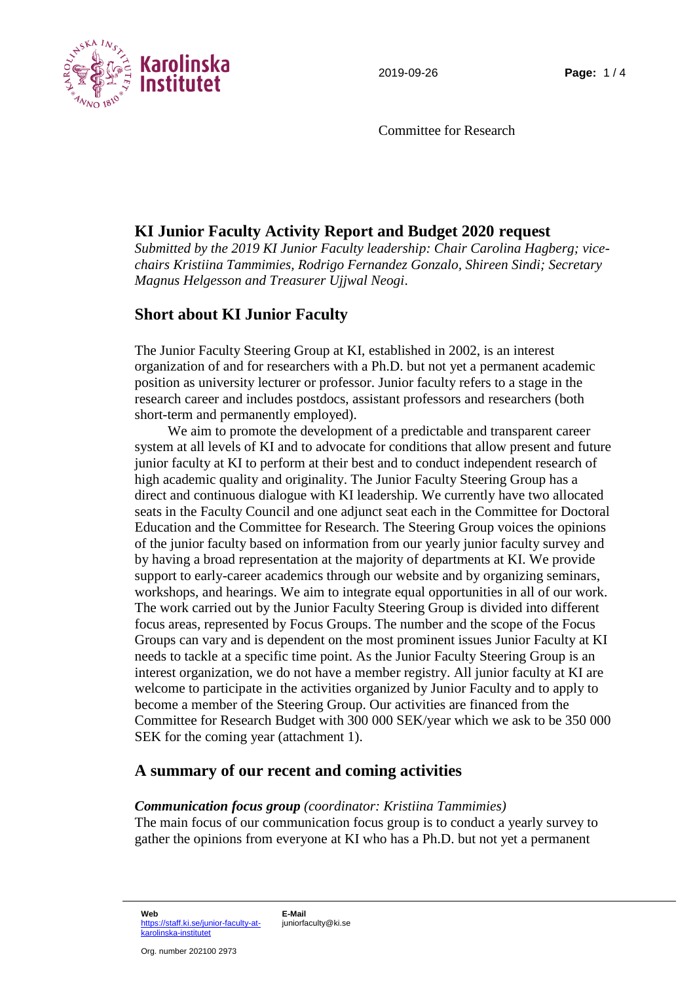

Committee for Research

## **KI Junior Faculty Activity Report and Budget 2020 request**

*Submitted by the 2019 KI Junior Faculty leadership: Chair Carolina Hagberg; vicechairs Kristiina Tammimies, Rodrigo Fernandez Gonzalo, Shireen Sindi; Secretary Magnus Helgesson and Treasurer Ujjwal Neogi*.

# **Short about KI Junior Faculty**

The Junior Faculty Steering Group at KI, established in 2002, is an interest organization of and for researchers with a Ph.D. but not yet a permanent academic position as university lecturer or professor. Junior faculty refers to a stage in the research career and includes postdocs, assistant professors and researchers (both short-term and permanently employed).

We aim to promote the development of a predictable and transparent career system at all levels of KI and to advocate for conditions that allow present and future junior faculty at KI to perform at their best and to conduct independent research of high academic quality and originality. The Junior Faculty Steering Group has a direct and continuous dialogue with KI leadership. We currently have two allocated seats in the Faculty Council and one adjunct seat each in the Committee for Doctoral Education and the Committee for Research. The Steering Group voices the opinions of the junior faculty based on information from our yearly junior faculty survey and by having a broad representation at the majority of departments at KI. We provide support to early-career academics through our website and by organizing seminars, workshops, and hearings. We aim to integrate equal opportunities in all of our work. The work carried out by the Junior Faculty Steering Group is divided into different focus areas, represented by Focus Groups. The number and the scope of the Focus Groups can vary and is dependent on the most prominent issues Junior Faculty at KI needs to tackle at a specific time point. As the Junior Faculty Steering Group is an interest organization, we do not have a member registry. All junior faculty at KI are welcome to participate in the activities organized by Junior Faculty and to apply to become a member of the Steering Group. Our activities are financed from the Committee for Research Budget with 300 000 SEK/year which we ask to be 350 000 SEK for the coming year (attachment 1).

### **A summary of our recent and coming activities**

### *Communication focus group (coordinator: Kristiina Tammimies)*

The main focus of our communication focus group is to conduct a yearly survey to gather the opinions from everyone at KI who has a Ph.D. but not yet a permanent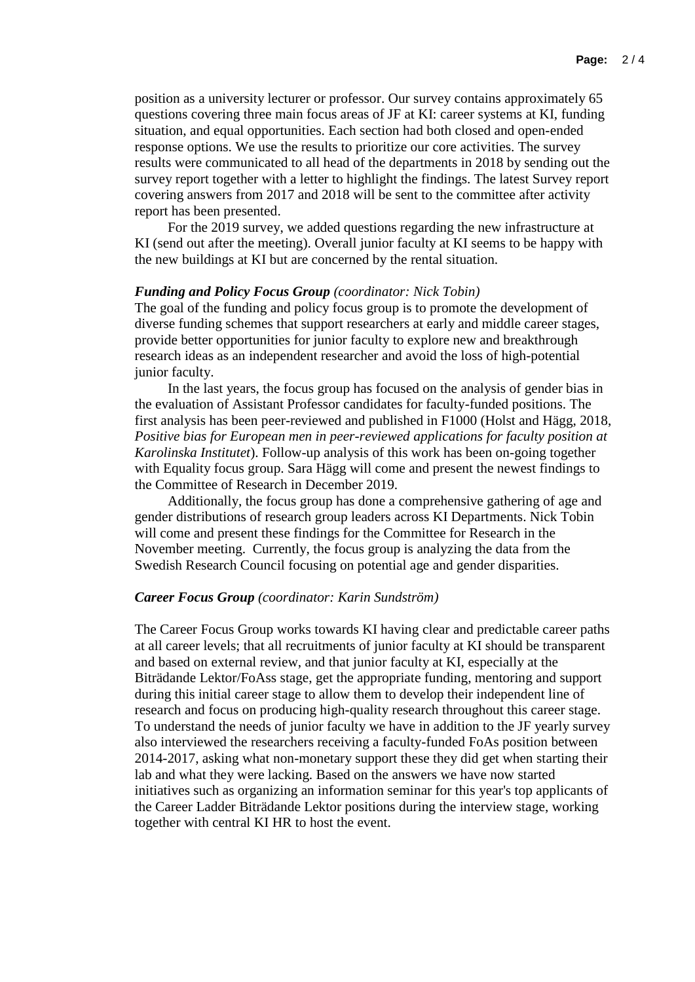position as a university lecturer or professor. Our survey contains approximately 65 questions covering three main focus areas of JF at KI: career systems at KI, funding situation, and equal opportunities. Each section had both closed and open-ended response options. We use the results to prioritize our core activities. The survey results were communicated to all head of the departments in 2018 by sending out the survey report together with a letter to highlight the findings. The latest Survey report covering answers from 2017 and 2018 will be sent to the committee after activity report has been presented.

For the 2019 survey, we added questions regarding the new infrastructure at KI (send out after the meeting). Overall junior faculty at KI seems to be happy with the new buildings at KI but are concerned by the rental situation.

#### *Funding and Policy Focus Group (coordinator: Nick Tobin)*

The goal of the funding and policy focus group is to promote the development of diverse funding schemes that support researchers at early and middle career stages, provide better opportunities for junior faculty to explore new and breakthrough research ideas as an independent researcher and avoid the loss of high-potential junior faculty.

In the last years, the focus group has focused on the analysis of gender bias in the evaluation of Assistant Professor candidates for faculty-funded positions. The first analysis has been peer-reviewed and published in F1000 (Holst and Hägg, 2018, *Positive bias for European men in peer-reviewed applications for faculty position at Karolinska Institutet*). Follow-up analysis of this work has been on-going together with Equality focus group. Sara Hägg will come and present the newest findings to the Committee of Research in December 2019.

Additionally, the focus group has done a comprehensive gathering of age and gender distributions of research group leaders across KI Departments. Nick Tobin will come and present these findings for the Committee for Research in the November meeting. Currently, the focus group is analyzing the data from the Swedish Research Council focusing on potential age and gender disparities.

#### *Career Focus Group (coordinator: Karin Sundström)*

The Career Focus Group works towards KI having clear and predictable career paths at all career levels; that all recruitments of junior faculty at KI should be transparent and based on external review, and that junior faculty at KI, especially at the Biträdande Lektor/FoAss stage, get the appropriate funding, mentoring and support during this initial career stage to allow them to develop their independent line of research and focus on producing high-quality research throughout this career stage. To understand the needs of junior faculty we have in addition to the JF yearly survey also interviewed the researchers receiving a faculty-funded FoAs position between 2014-2017, asking what non-monetary support these they did get when starting their lab and what they were lacking. Based on the answers we have now started initiatives such as organizing an information seminar for this year's top applicants of the Career Ladder Biträdande Lektor positions during the interview stage, working together with central KI HR to host the event.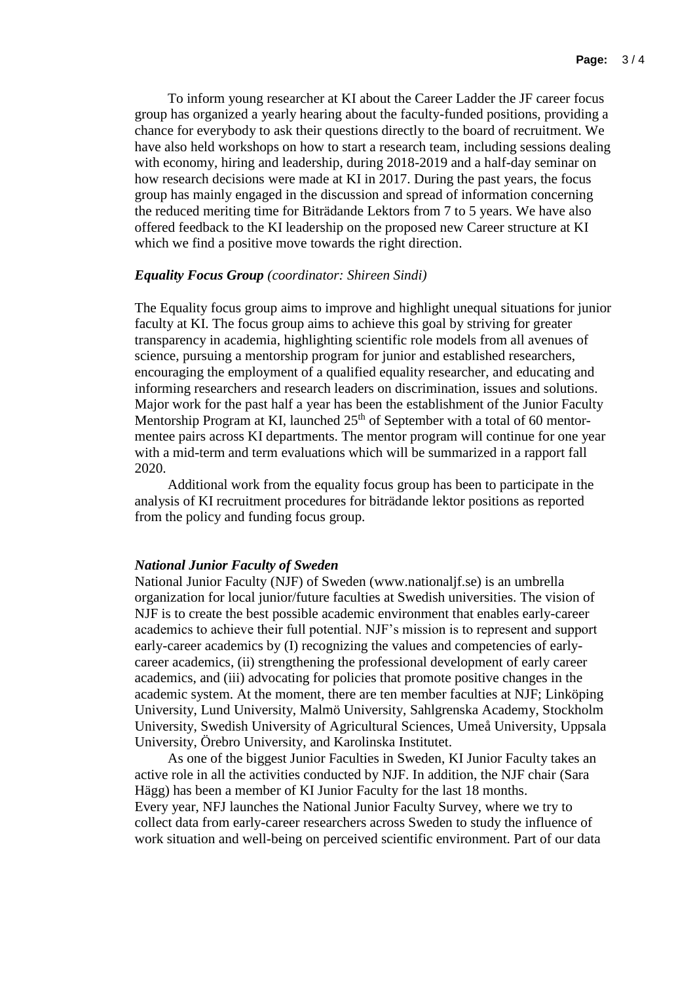To inform young researcher at KI about the Career Ladder the JF career focus group has organized a yearly hearing about the faculty-funded positions, providing a chance for everybody to ask their questions directly to the board of recruitment. We have also held workshops on how to start a research team, including sessions dealing with economy, hiring and leadership, during 2018-2019 and a half-day seminar on how research decisions were made at KI in 2017. During the past years, the focus group has mainly engaged in the discussion and spread of information concerning the reduced meriting time for Biträdande Lektors from 7 to 5 years. We have also offered feedback to the KI leadership on the proposed new Career structure at KI which we find a positive move towards the right direction.

#### *Equality Focus Group (coordinator: Shireen Sindi)*

The Equality focus group aims to improve and highlight unequal situations for junior faculty at KI. The focus group aims to achieve this goal by striving for greater transparency in academia, highlighting scientific role models from all avenues of science, pursuing a mentorship program for junior and established researchers, encouraging the employment of a qualified equality researcher, and educating and informing researchers and research leaders on discrimination, issues and solutions. Major work for the past half a year has been the establishment of the Junior Faculty Mentorship Program at KI, launched 25<sup>th</sup> of September with a total of 60 mentormentee pairs across KI departments. The mentor program will continue for one year with a mid-term and term evaluations which will be summarized in a rapport fall 2020.

Additional work from the equality focus group has been to participate in the analysis of KI recruitment procedures for biträdande lektor positions as reported from the policy and funding focus group.

#### *National Junior Faculty of Sweden*

National Junior Faculty (NJF) of Sweden (www.nationaljf.se) is an umbrella organization for local junior/future faculties at Swedish universities. The vision of NJF is to create the best possible academic environment that enables early-career academics to achieve their full potential. NJF's mission is to represent and support early-career academics by (I) recognizing the values and competencies of earlycareer academics, (ii) strengthening the professional development of early career academics, and (iii) advocating for policies that promote positive changes in the academic system. At the moment, there are ten member faculties at NJF; Linköping University, Lund University, Malmö University, Sahlgrenska Academy, Stockholm University, Swedish University of Agricultural Sciences, Umeå University, Uppsala University, Örebro University, and Karolinska Institutet.

As one of the biggest Junior Faculties in Sweden, KI Junior Faculty takes an active role in all the activities conducted by NJF. In addition, the NJF chair (Sara Hägg) has been a member of KI Junior Faculty for the last 18 months. Every year, NFJ launches the National Junior Faculty Survey, where we try to collect data from early-career researchers across Sweden to study the influence of work situation and well-being on perceived scientific environment. Part of our data